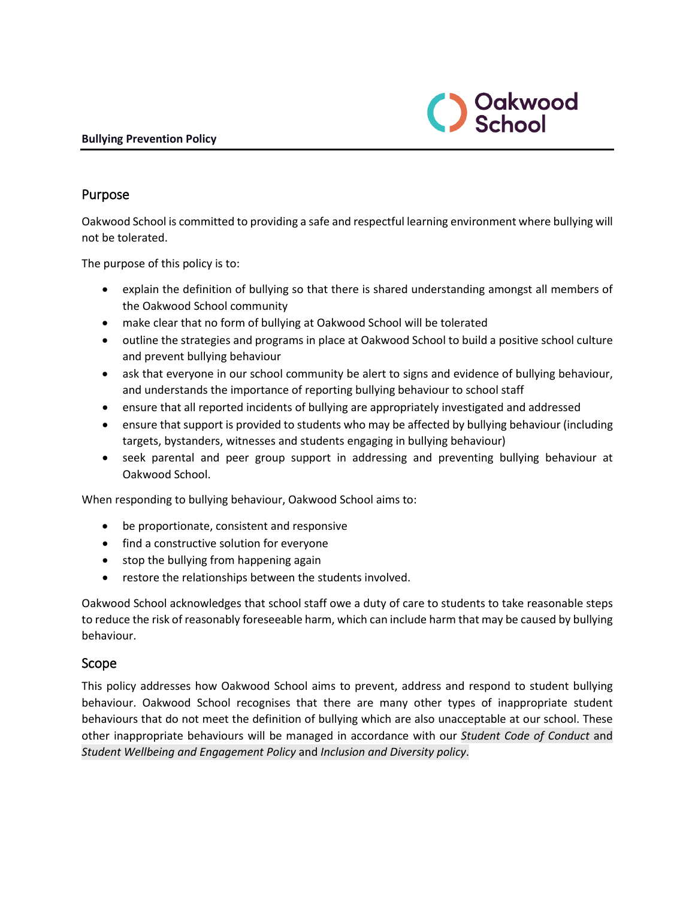

### Purpose

Oakwood School is committed to providing a safe and respectful learning environment where bullying will not be tolerated.

The purpose of this policy is to:

- explain the definition of bullying so that there is shared understanding amongst all members of the Oakwood School community
- make clear that no form of bullying at Oakwood School will be tolerated
- outline the strategies and programs in place at Oakwood School to build a positive school culture and prevent bullying behaviour
- ask that everyone in our school community be alert to signs and evidence of bullying behaviour, and understands the importance of reporting bullying behaviour to school staff
- ensure that all reported incidents of bullying are appropriately investigated and addressed
- ensure that support is provided to students who may be affected by bullying behaviour (including targets, bystanders, witnesses and students engaging in bullying behaviour)
- seek parental and peer group support in addressing and preventing bullying behaviour at Oakwood School.

When responding to bullying behaviour, Oakwood School aims to:

- be proportionate, consistent and responsive
- find a constructive solution for everyone
- stop the bullying from happening again
- restore the relationships between the students involved.

Oakwood School acknowledges that school staff owe a duty of care to students to take reasonable steps to reduce the risk of reasonably foreseeable harm, which can include harm that may be caused by bullying behaviour.

#### Scope

This policy addresses how Oakwood School aims to prevent, address and respond to student bullying behaviour. Oakwood School recognises that there are many other types of inappropriate student behaviours that do not meet the definition of bullying which are also unacceptable at our school. These other inappropriate behaviours will be managed in accordance with our *Student Code of Conduct* and *Student Wellbeing and Engagement Policy* and *Inclusion and Diversity policy*.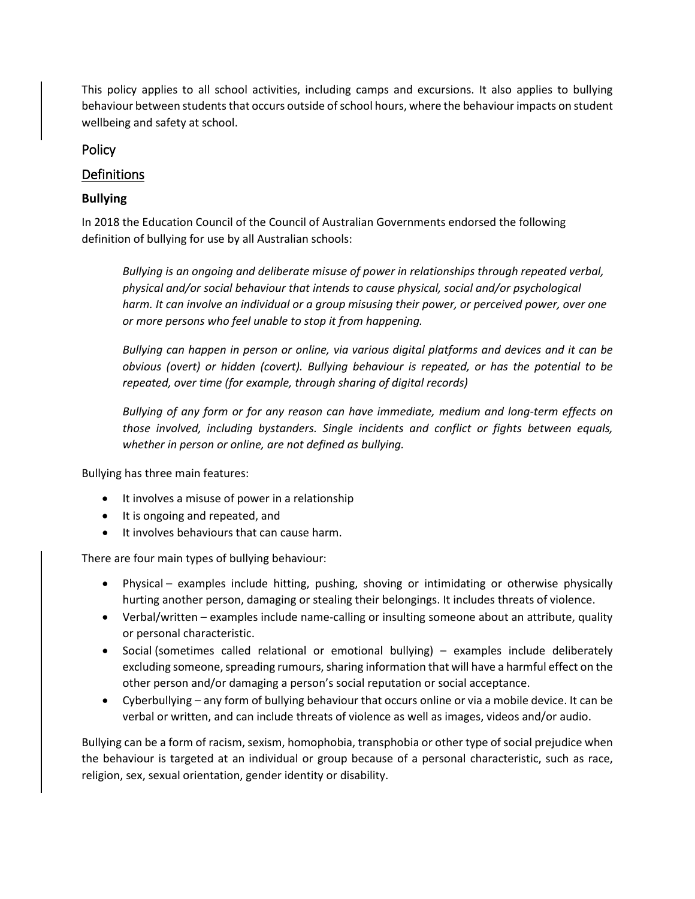This policy applies to all school activities, including camps and excursions. It also applies to bullying behaviour between students that occurs outside of school hours, where the behaviour impacts on student wellbeing and safety at school.

## Policy

## **Definitions**

## **Bullying**

In 2018 the Education Council of the Council of Australian Governments endorsed the following definition of bullying for use by all Australian schools:

*Bullying is an ongoing and deliberate misuse of power in relationships through repeated verbal, physical and/or social behaviour that intends to cause physical, social and/or psychological harm. It can involve an individual or a group misusing their power, or perceived power, over one or more persons who feel unable to stop it from happening.*

*Bullying can happen in person or online, via various digital platforms and devices and it can be obvious (overt) or hidden (covert). Bullying behaviour is repeated, or has the potential to be repeated, over time (for example, through sharing of digital records)*

*Bullying of any form or for any reason can have immediate, medium and long-term effects on those involved, including bystanders. Single incidents and conflict or fights between equals, whether in person or online, are not defined as bullying.*

Bullying has three main features:

- It involves a misuse of power in a relationship
- It is ongoing and repeated, and
- It involves behaviours that can cause harm.

There are four main types of bullying behaviour:

- Physical examples include hitting, pushing, shoving or intimidating or otherwise physically hurting another person, damaging or stealing their belongings. It includes threats of violence.
- Verbal/written examples include name-calling or insulting someone about an attribute, quality or personal characteristic.
- Social (sometimes called relational or emotional bullying) examples include deliberately excluding someone, spreading rumours, sharing information that will have a harmful effect on the other person and/or damaging a person's social reputation or social acceptance.
- Cyberbullying any form of bullying behaviour that occurs online or via a mobile device. It can be verbal or written, and can include threats of violence as well as images, videos and/or audio.

Bullying can be a form of racism, sexism, homophobia, transphobia or other type of social prejudice when the behaviour is targeted at an individual or group because of a personal characteristic, such as race, religion, sex, sexual orientation, gender identity or disability.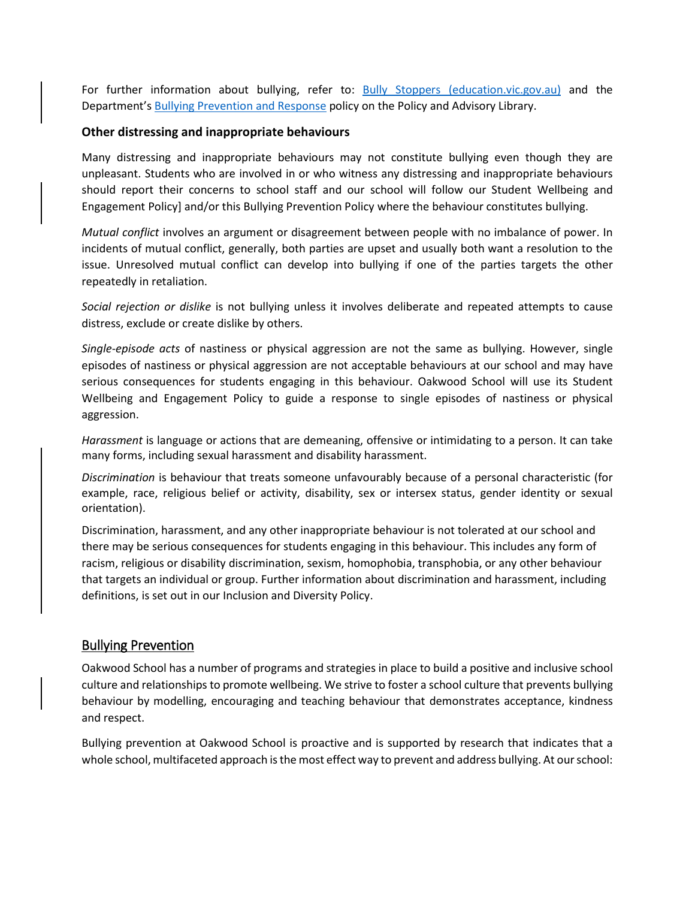For further information about bullying, refer to: [Bully Stoppers \(education.vic.gov.au\)](https://www.education.vic.gov.au/about/programs/bullystoppers/Pages/default.aspx) and the Department's [Bullying Prevention and Response](https://www2.education.vic.gov.au/pal/bullying-prevention-response/policy) policy on the Policy and Advisory Library.

#### **Other distressing and inappropriate behaviours**

Many distressing and inappropriate behaviours may not constitute bullying even though they are unpleasant. Students who are involved in or who witness any distressing and inappropriate behaviours should report their concerns to school staff and our school will follow our Student Wellbeing and Engagement Policy] and/or this Bullying Prevention Policy where the behaviour constitutes bullying.

*Mutual conflict* involves an argument or disagreement between people with no imbalance of power. In incidents of mutual conflict, generally, both parties are upset and usually both want a resolution to the issue. Unresolved mutual conflict can develop into bullying if one of the parties targets the other repeatedly in retaliation.

*Social rejection or dislike* is not bullying unless it involves deliberate and repeated attempts to cause distress, exclude or create dislike by others.

*Single-episode acts* of nastiness or physical aggression are not the same as bullying. However, single episodes of nastiness or physical aggression are not acceptable behaviours at our school and may have serious consequences for students engaging in this behaviour. Oakwood School will use its Student Wellbeing and Engagement Policy to guide a response to single episodes of nastiness or physical aggression.

*Harassment* is language or actions that are demeaning, offensive or intimidating to a person. It can take many forms, including sexual harassment and disability harassment.

*Discrimination* is behaviour that treats someone unfavourably because of a personal characteristic (for example, race, religious belief or activity, disability, sex or intersex status, gender identity or sexual orientation).

Discrimination, harassment, and any other inappropriate behaviour is not tolerated at our school and there may be serious consequences for students engaging in this behaviour. This includes any form of racism, religious or disability discrimination, sexism, homophobia, transphobia, or any other behaviour that targets an individual or group. Further information about discrimination and harassment, including definitions, is set out in our Inclusion and Diversity Policy.

#### Bullying Prevention

Oakwood School has a number of programs and strategies in place to build a positive and inclusive school culture and relationships to promote wellbeing. We strive to foster a school culture that prevents bullying behaviour by modelling, encouraging and teaching behaviour that demonstrates acceptance, kindness and respect.

Bullying prevention at Oakwood School is proactive and is supported by research that indicates that a whole school, multifaceted approach is the most effect way to prevent and address bullying. At our school: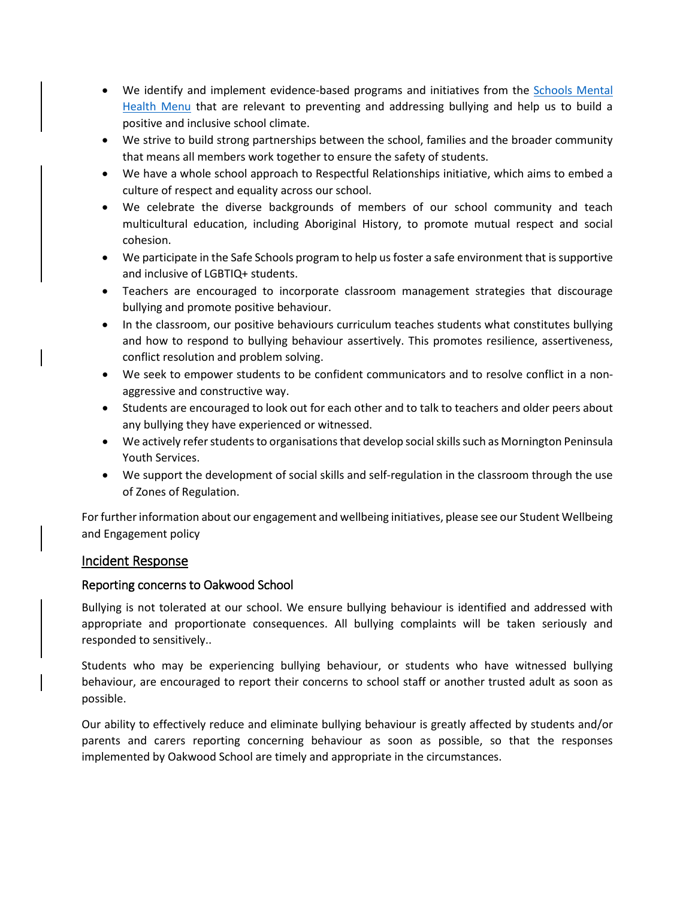- We identify and implement evidence-based programs and initiatives from the [Schools Mental](https://www.education.vic.gov.au/school/teachers/health/mentalhealth/mental-health-menu/Pages/Menu.aspx?Redirect=1)  [Health Menu](https://www.education.vic.gov.au/school/teachers/health/mentalhealth/mental-health-menu/Pages/Menu.aspx?Redirect=1) that are relevant to preventing and addressing bullying and help us to build a positive and inclusive school climate.
- We strive to build strong partnerships between the school, families and the broader community that means all members work together to ensure the safety of students.
- We have a whole school approach to Respectful Relationships initiative, which aims to embed a culture of respect and equality across our school.
- We celebrate the diverse backgrounds of members of our school community and teach multicultural education, including Aboriginal History, to promote mutual respect and social cohesion.
- We participate in the Safe Schools program to help us foster a safe environment that is supportive and inclusive of LGBTIQ+ students.
- Teachers are encouraged to incorporate classroom management strategies that discourage bullying and promote positive behaviour.
- In the classroom, our positive behaviours curriculum teaches students what constitutes bullying and how to respond to bullying behaviour assertively. This promotes resilience, assertiveness, conflict resolution and problem solving.
- We seek to empower students to be confident communicators and to resolve conflict in a nonaggressive and constructive way.
- Students are encouraged to look out for each other and to talk to teachers and older peers about any bullying they have experienced or witnessed.
- We actively refer students to organisations that develop social skills such as Mornington Peninsula Youth Services.
- We support the development of social skills and self-regulation in the classroom through the use of Zones of Regulation.

For further information about our engagement and wellbeing initiatives, please see our Student Wellbeing and Engagement policy

#### Incident Response

#### Reporting concerns to Oakwood School

Bullying is not tolerated at our school. We ensure bullying behaviour is identified and addressed with appropriate and proportionate consequences. All bullying complaints will be taken seriously and responded to sensitively..

Students who may be experiencing bullying behaviour, or students who have witnessed bullying behaviour, are encouraged to report their concerns to school staff or another trusted adult as soon as possible.

Our ability to effectively reduce and eliminate bullying behaviour is greatly affected by students and/or parents and carers reporting concerning behaviour as soon as possible, so that the responses implemented by Oakwood School are timely and appropriate in the circumstances.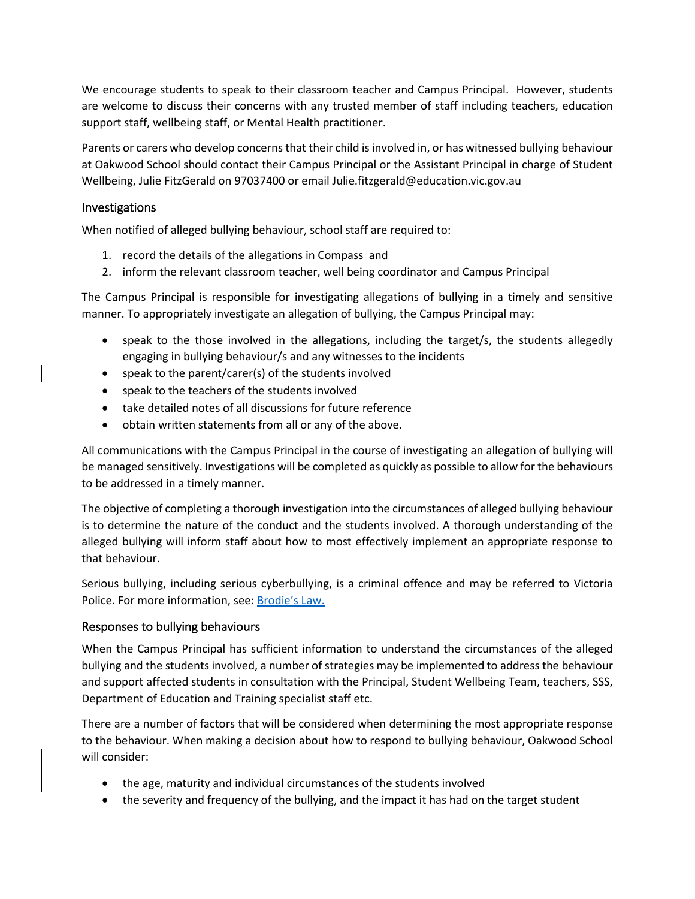We encourage students to speak to their classroom teacher and Campus Principal. However, students are welcome to discuss their concerns with any trusted member of staff including teachers, education support staff, wellbeing staff, or Mental Health practitioner.

Parents or carers who develop concerns that their child is involved in, or has witnessed bullying behaviour at Oakwood School should contact their Campus Principal or the Assistant Principal in charge of Student Wellbeing, Julie FitzGerald on 97037400 or email Julie.fitzgerald@education.vic.gov.au

#### Investigations

When notified of alleged bullying behaviour, school staff are required to:

- 1. record the details of the allegations in Compass and
- 2. inform the relevant classroom teacher, well being coordinator and Campus Principal

The Campus Principal is responsible for investigating allegations of bullying in a timely and sensitive manner. To appropriately investigate an allegation of bullying, the Campus Principal may:

- speak to the those involved in the allegations, including the target/s, the students allegedly engaging in bullying behaviour/s and any witnesses to the incidents
- speak to the parent/carer(s) of the students involved
- speak to the teachers of the students involved
- take detailed notes of all discussions for future reference
- obtain written statements from all or any of the above.

All communications with the Campus Principal in the course of investigating an allegation of bullying will be managed sensitively. Investigations will be completed as quickly as possible to allow for the behaviours to be addressed in a timely manner.

The objective of completing a thorough investigation into the circumstances of alleged bullying behaviour is to determine the nature of the conduct and the students involved. A thorough understanding of the alleged bullying will inform staff about how to most effectively implement an appropriate response to that behaviour.

Serious bullying, including serious cyberbullying, is a criminal offence and may be referred to Victoria Police. For more information, see[: Brodie's Law.](http://www.education.vic.gov.au/about/programs/bullystoppers/Pages/advicesheetbrodieslaw.aspx)

#### Responses to bullying behaviours

When the Campus Principal has sufficient information to understand the circumstances of the alleged bullying and the students involved, a number of strategies may be implemented to address the behaviour and support affected students in consultation with the Principal, Student Wellbeing Team, teachers, SSS, Department of Education and Training specialist staff etc.

There are a number of factors that will be considered when determining the most appropriate response to the behaviour. When making a decision about how to respond to bullying behaviour, Oakwood School will consider:

- the age, maturity and individual circumstances of the students involved
- the severity and frequency of the bullying, and the impact it has had on the target student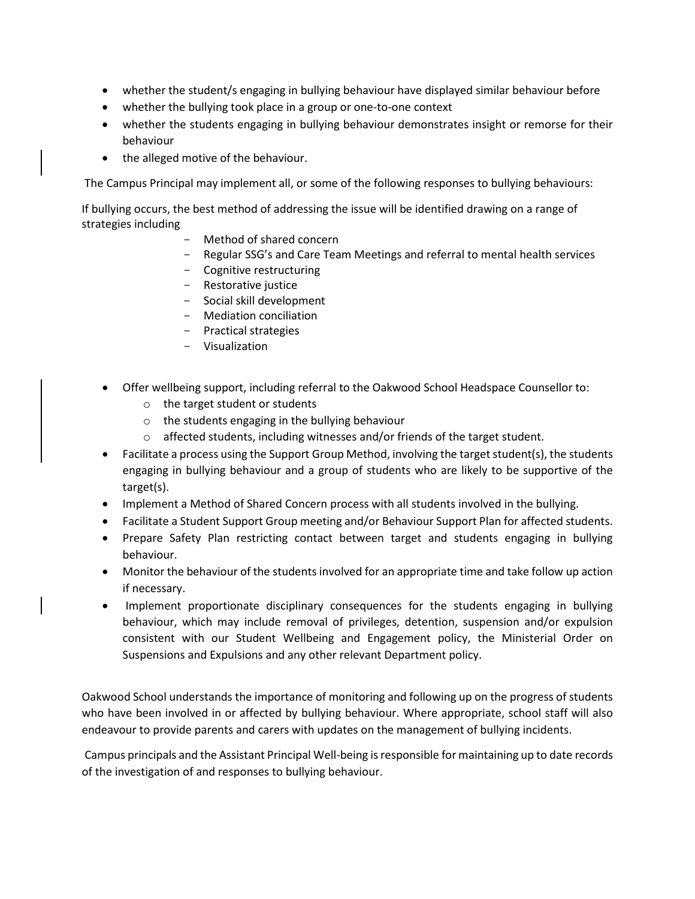- whether the student/s engaging in bullying behaviour have displayed similar behaviour before
- whether the bullying took place in a group or one-to-one context
- whether the students engaging in bullying behaviour demonstrates insight or remorse for their behaviour
- the alleged motive of the behaviour.

The Campus Principal may implement all, or some of the following responses to bullying behaviours:

If bullying occurs, the best method of addressing the issue will be identified drawing on a range of strategies including

- Method of shared concern
- Regular SSG's and Care Team Meetings and referral to mental health services
- Cognitive restructuring
- Restorative justice
- Social skill development
- Mediation conciliation
- Practical strategies
- Visualization
- Offer wellbeing support, including referral to the Oakwood School Headspace Counsellor to:
	- o the target student or students
	- o the students engaging in the bullying behaviour
	- o affected students, including witnesses and/or friends of the target student.
- Facilitate a process using the Support Group Method, involving the target student(s), the students engaging in bullying behaviour and a group of students who are likely to be supportive of the target(s).
- Implement a Method of Shared Concern process with all students involved in the bullying.
- Facilitate a Student Support Group meeting and/or Behaviour Support Plan for affected students.
- Prepare Safety Plan restricting contact between target and students engaging in bullying behaviour.
- Monitor the behaviour of the students involved for an appropriate time and take follow up action if necessary.
- Implement proportionate disciplinary consequences for the students engaging in bullying behaviour, which may include removal of privileges, detention, suspension and/or expulsion consistent with our Student Wellbeing and Engagement policy, the Ministerial Order on Suspensions and Expulsions and any other relevant Department policy.

Oakwood School understands the importance of monitoring and following up on the progress of students who have been involved in or affected by bullying behaviour. Where appropriate, school staff will also endeavour to provide parents and carers with updates on the management of bullying incidents.

Campus principals and the Assistant Principal Well-being is responsible for maintaining up to date records of the investigation of and responses to bullying behaviour.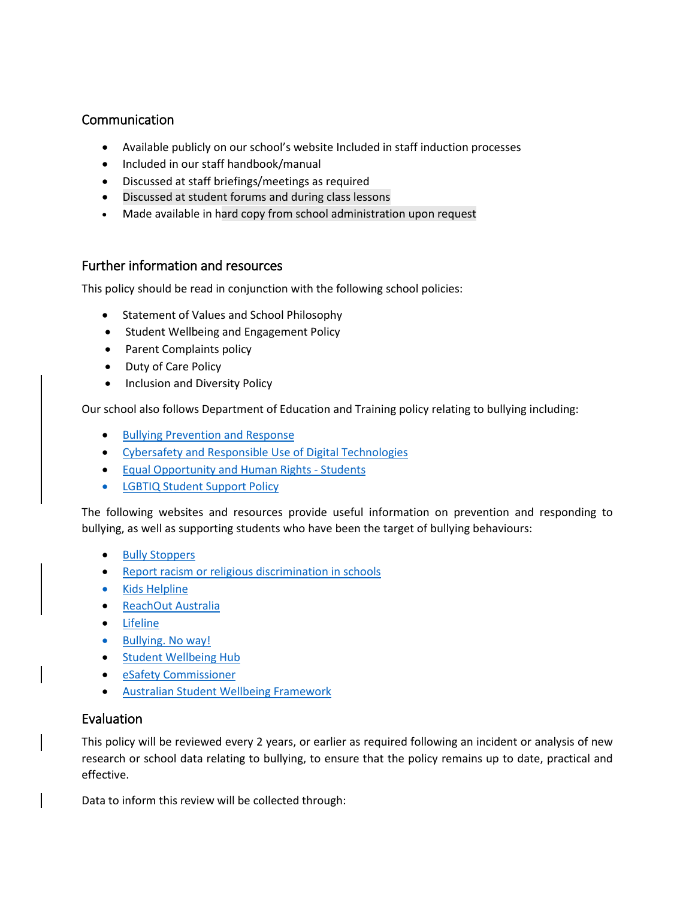## Communication

- Available publicly on our school's website Included in staff induction processes
- Included in our staff handbook/manual
- Discussed at staff briefings/meetings as required
- Discussed at student forums and during class lessons
- Made available in hard copy from school administration upon request

#### Further information and resources

This policy should be read in conjunction with the following school policies:

- Statement of Values and School Philosophy
- Student Wellbeing and Engagement Policy
- Parent Complaints policy
- Duty of Care Policy
- Inclusion and Diversity Policy

Our school also follows Department of Education and Training policy relating to bullying including:

- [Bullying Prevention and Response](https://www2.education.vic.gov.au/pal/bullying-prevention-response/policy)
- [Cybersafety and Responsible Use of](https://www2.education.vic.gov.au/pal/cybersafety/policy) Digital Technologies
- [Equal Opportunity and Human Rights -](https://www2.education.vic.gov.au/pal/equal-opportunity-human-rights-students/policy) Students
- [LGBTIQ Student Support Policy](https://www2.education.vic.gov.au/pal/lgbtiq-student-support/policy)

The following websites and resources provide useful information on prevention and responding to bullying, as well as supporting students who have been the target of bullying behaviours:

- **[Bully Stoppers](https://www.education.vic.gov.au/about/programs/bullystoppers/Pages/default.aspx)**
- [Report racism or religious discrimination in schools](https://www.vic.gov.au/report-racism-or-religious-discrimination-schools)
- [Kids Helpline](https://kidshelpline.com.au/)
- [ReachOut Australia](https://au.reachout.com/)
- [Lifeline](https://www.lifeline.org.au/)
- [Bullying. No way!](https://bullyingnoway.gov.au/)
- [Student Wellbeing Hub](https://www.studentwellbeinghub.edu.au/)
- [eSafety Commissioner](https://www.esafety.gov.au/)
- [Australian Student Wellbeing Framework](https://studentwellbeinghub.edu.au/educators/resources/australian-student-wellbeing-framework/)

#### Evaluation

This policy will be reviewed every 2 years, or earlier as required following an incident or analysis of new research or school data relating to bullying, to ensure that the policy remains up to date, practical and effective.

Data to inform this review will be collected through: